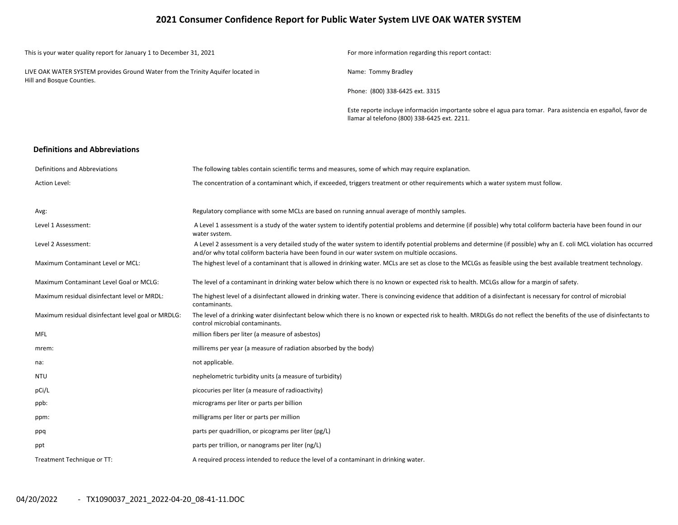## **2021 Consumer Confidence Report for Public Water System LIVE OAK WATER SYSTEM**

| This is your water quality report for January 1 to December 31, 2021                                         | For more information regarding this report contact:                                                                                                        |
|--------------------------------------------------------------------------------------------------------------|------------------------------------------------------------------------------------------------------------------------------------------------------------|
| LIVE OAK WATER SYSTEM provides Ground Water from the Trinity Aquifer located in<br>Hill and Bosque Counties. | Name: Tommy Bradley                                                                                                                                        |
|                                                                                                              | Phone: (800) 338-6425 ext. 3315                                                                                                                            |
|                                                                                                              | Este reporte incluye información importante sobre el agua para tomar. Para asistencia en español, favor de<br>Ilamar al telefono (800) 338-6425 ext. 2211. |

#### **Definitions and Abbreviations**

| Definitions and Abbreviations                      | The following tables contain scientific terms and measures, some of which may require explanation.                                                                                                                                                                      |
|----------------------------------------------------|-------------------------------------------------------------------------------------------------------------------------------------------------------------------------------------------------------------------------------------------------------------------------|
| <b>Action Level:</b>                               | The concentration of a contaminant which, if exceeded, triggers treatment or other requirements which a water system must follow.                                                                                                                                       |
|                                                    |                                                                                                                                                                                                                                                                         |
| Avg:                                               | Regulatory compliance with some MCLs are based on running annual average of monthly samples.                                                                                                                                                                            |
| Level 1 Assessment:                                | A Level 1 assessment is a study of the water system to identify potential problems and determine (if possible) why total coliform bacteria have been found in our<br>water system.                                                                                      |
| Level 2 Assessment:                                | A Level 2 assessment is a very detailed study of the water system to identify potential problems and determine (if possible) why an E. coli MCL violation has occurred<br>and/or why total coliform bacteria have been found in our water system on multiple occasions. |
| Maximum Contaminant Level or MCL:                  | The highest level of a contaminant that is allowed in drinking water. MCLs are set as close to the MCLGs as feasible using the best available treatment technology.                                                                                                     |
| Maximum Contaminant Level Goal or MCLG:            | The level of a contaminant in drinking water below which there is no known or expected risk to health. MCLGs allow for a margin of safety.                                                                                                                              |
| Maximum residual disinfectant level or MRDL:       | The highest level of a disinfectant allowed in drinking water. There is convincing evidence that addition of a disinfectant is necessary for control of microbial<br>contaminants.                                                                                      |
| Maximum residual disinfectant level goal or MRDLG: | The level of a drinking water disinfectant below which there is no known or expected risk to health. MRDLGs do not reflect the benefits of the use of disinfectants to<br>control microbial contaminants.                                                               |
| <b>MFL</b>                                         | million fibers per liter (a measure of asbestos)                                                                                                                                                                                                                        |
| mrem:                                              | millirems per year (a measure of radiation absorbed by the body)                                                                                                                                                                                                        |
| na:                                                | not applicable.                                                                                                                                                                                                                                                         |
| <b>NTU</b>                                         | nephelometric turbidity units (a measure of turbidity)                                                                                                                                                                                                                  |
| pCi/L                                              | picocuries per liter (a measure of radioactivity)                                                                                                                                                                                                                       |
| ppb:                                               | micrograms per liter or parts per billion                                                                                                                                                                                                                               |
| ppm:                                               | milligrams per liter or parts per million                                                                                                                                                                                                                               |
| ppq                                                | parts per quadrillion, or picograms per liter (pg/L)                                                                                                                                                                                                                    |
| ppt                                                | parts per trillion, or nanograms per liter (ng/L)                                                                                                                                                                                                                       |
| Treatment Technique or TT:                         | A required process intended to reduce the level of a contaminant in drinking water.                                                                                                                                                                                     |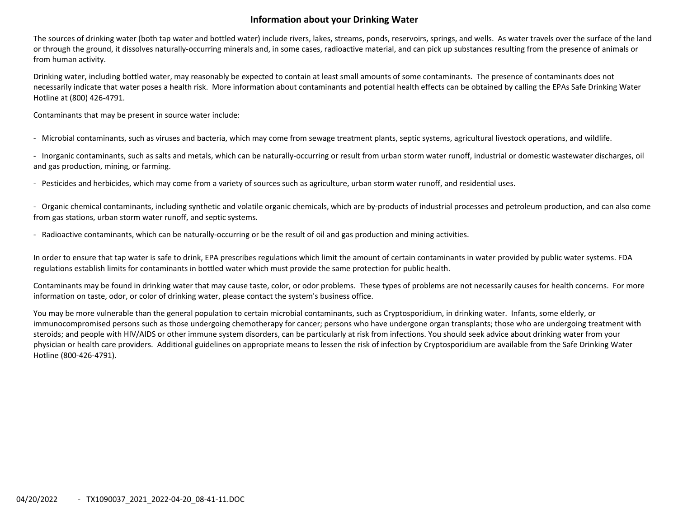# **Information about your Drinking Water**

The sources of drinking water (both tap water and bottled water) include rivers, lakes, streams, ponds, reservoirs, springs, and wells. As water travels over the surface of the land or through the ground, it dissolves naturally‐occurring minerals and, in some cases, radioactive material, and can pick up substances resulting from the presence of animals or from human activity.

Drinking water, including bottled water, may reasonably be expected to contain at least small amounts of some contaminants. The presence of contaminants does not necessarily indicate that water poses <sup>a</sup> health risk. More information about contaminants and potential health effects can be obtained by calling the EPAs Safe Drinking Water Hotline at (800) 426‐4791.

Contaminants that may be present in source water include:

‐ Microbial contaminants, such as viruses and bacteria, which may come from sewage treatment plants, septic systems, agricultural livestock operations, and wildlife.

‐ Inorganic contaminants, such as salts and metals, which can be naturally‐occurring or result from urban storm water runoff, industrial or domestic wastewater discharges, oil and gas production, mining, or farming.

‐ Pesticides and herbicides, which may come from <sup>a</sup> variety of sources such as agriculture, urban storm water runoff, and residential uses.

‐ Organic chemical contaminants, including synthetic and volatile organic chemicals, which are by‐products of industrial processes and petroleum production, and can also come from gas stations, urban storm water runoff, and septic systems.

‐ Radioactive contaminants, which can be naturally‐occurring or be the result of oil and gas production and mining activities.

In order to ensure that tap water is safe to drink, EPA prescribes regulations which limit the amount of certain contaminants in water provided by public water systems. FDA regulations establish limits for contaminants in bottled water which must provide the same protection for public health.

Contaminants may be found in drinking water that may cause taste, color, or odor problems. These types of problems are not necessarily causes for health concerns. For more information on taste, odor, or color of drinking water, please contact the system's business office.

You may be more vulnerable than the general population to certain microbial contaminants, such as Cryptosporidium, in drinking water. Infants, some elderly, or immunocompromised persons such as those undergoing chemotherapy for cancer; persons who have undergone organ transplants; those who are undergoing treatment with steroids; and people with HIV/AIDS or other immune system disorders, can be particularly at risk from infections. You should seek advice about drinking water from your physician or health care providers. Additional guidelines on appropriate means to lessen the risk of infection by Cryptosporidium are available from the Safe Drinking Water Hotline (800‐426‐4791).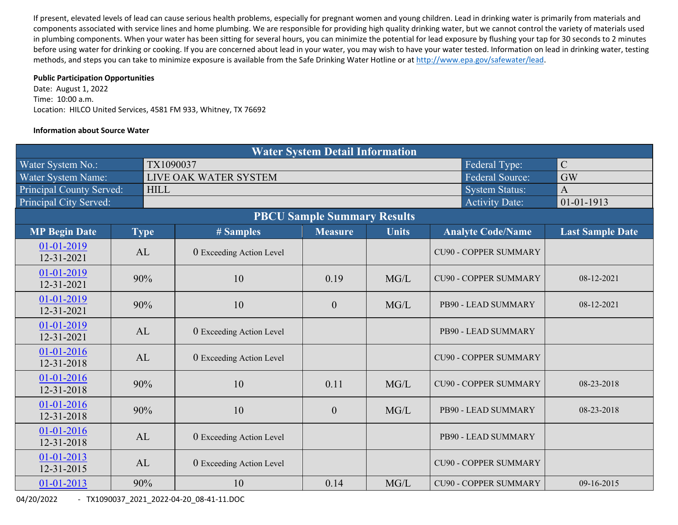If present, elevated levels of lead can cause serious health problems, especially for pregnant women and young children. Lead in drinking water is primarily from materials and components associated with service lines and home plumbing. We are responsible for providing high quality drinking water, but we cannot control the variety of materials used in plumbing components. When your water has been sitting for several hours, you can minimize the potential for lead exposure by flushing your tap for 30 seconds to 2 minutes before using water for drinking or cooking. If you are concerned about lead in your water, you may wish to have your water tested. Information on lead in drinking water, testing methods, and steps you can take to minimize exposure is available from the Safe Drinking Water Hotline or at http://www.epa.gov/safewater/lead.

## **Public Participation Opportunities**

Date: August 1, 2022 Time: 10:00 a.m. Location: HILCO United Services, 4581 FM 933, Whitney, TX 76692

## **Information about Source Water**

| <b>Water System Detail Information</b> |  |             |                          |                  |              |                              |                         |  |  |  |  |  |
|----------------------------------------|--|-------------|--------------------------|------------------|--------------|------------------------------|-------------------------|--|--|--|--|--|
| Water System No.:                      |  | TX1090037   | $\mathcal{C}$            |                  |              |                              |                         |  |  |  |  |  |
| Water System Name:                     |  |             | LIVE OAK WATER SYSTEM    | <b>GW</b>        |              |                              |                         |  |  |  |  |  |
| <b>Principal County Served:</b>        |  | <b>HILL</b> |                          |                  |              | <b>System Status:</b>        | $\overline{A}$          |  |  |  |  |  |
| Principal City Served:                 |  |             |                          |                  |              | <b>Activity Date:</b>        | $01 - 01 - 1913$        |  |  |  |  |  |
| <b>PBCU Sample Summary Results</b>     |  |             |                          |                  |              |                              |                         |  |  |  |  |  |
| <b>MP Begin Date</b>                   |  | <b>Type</b> | <b>#Samples</b>          | <b>Measure</b>   | <b>Units</b> | <b>Analyte Code/Name</b>     | <b>Last Sample Date</b> |  |  |  |  |  |
| 01-01-2019<br>12-31-2021               |  | AL          | 0 Exceeding Action Level |                  |              | <b>CU90 - COPPER SUMMARY</b> |                         |  |  |  |  |  |
| 01-01-2019<br>12-31-2021               |  | 90%         | 10                       | 0.19             | MG/L         | <b>CU90 - COPPER SUMMARY</b> | 08-12-2021              |  |  |  |  |  |
| $01 - 01 - 2019$<br>12-31-2021         |  | 90%         | 10                       | $\boldsymbol{0}$ | MG/L         | PB90 - LEAD SUMMARY          | 08-12-2021              |  |  |  |  |  |
| 01-01-2019<br>12-31-2021               |  | AL          | 0 Exceeding Action Level |                  |              | PB90 - LEAD SUMMARY          |                         |  |  |  |  |  |
| 01-01-2016<br>12-31-2018               |  | AL          | 0 Exceeding Action Level |                  |              | <b>CU90 - COPPER SUMMARY</b> |                         |  |  |  |  |  |
| 01-01-2016<br>12-31-2018               |  | 90%         | 10                       | 0.11             | MG/L         | <b>CU90 - COPPER SUMMARY</b> | 08-23-2018              |  |  |  |  |  |
| 01-01-2016<br>12-31-2018               |  | 90%         | 10                       | $\boldsymbol{0}$ | MG/L         | PB90 - LEAD SUMMARY          | 08-23-2018              |  |  |  |  |  |
| $01-01-2016$<br>12-31-2018             |  | AL          | 0 Exceeding Action Level |                  |              | PB90 - LEAD SUMMARY          |                         |  |  |  |  |  |
| 01-01-2013<br>12-31-2015               |  | AL          | 0 Exceeding Action Level |                  |              | <b>CU90 - COPPER SUMMARY</b> |                         |  |  |  |  |  |
| $01 - 01 - 2013$                       |  | 90%         | 10                       | 0.14             | MG/L         | <b>CU90 - COPPER SUMMARY</b> | 09-16-2015              |  |  |  |  |  |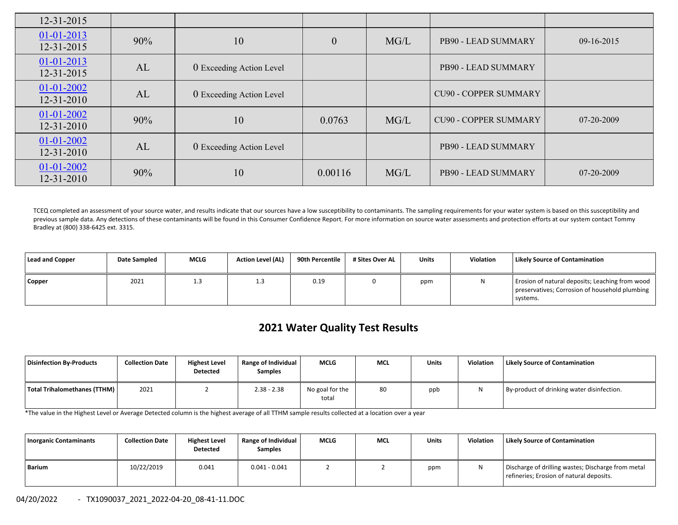| $12 - 31 - 2015$                     |     |                          |              |      |                              |              |
|--------------------------------------|-----|--------------------------|--------------|------|------------------------------|--------------|
| $01-01-2013$<br>12-31-2015           | 90% | 10                       | $\mathbf{0}$ | MG/L | PB90 - LEAD SUMMARY          | $09-16-2015$ |
| $01-01-2013$<br>12-31-2015           | AL  | 0 Exceeding Action Level |              |      | PB90 - LEAD SUMMARY          |              |
| $01 - 01 - 2002$<br>$12 - 31 - 2010$ | AL  | 0 Exceeding Action Level |              |      | <b>CU90 - COPPER SUMMARY</b> |              |
| $01 - 01 - 2002$<br>$12 - 31 - 2010$ | 90% | 10                       | 0.0763       | MG/L | <b>CU90 - COPPER SUMMARY</b> | 07-20-2009   |
| $01 - 01 - 2002$<br>12-31-2010       | AL  | 0 Exceeding Action Level |              |      | PB90 - LEAD SUMMARY          |              |
| $01 - 01 - 2002$<br>12-31-2010       | 90% | 10                       | 0.00116      | MG/L | PB90 - LEAD SUMMARY          | 07-20-2009   |

TCEQ completed an assessment of your source water, and results indicate that our sources have a low susceptibility to contaminants. The sampling requirements for your water system is based on this susceptibility and previous sample data. Any detections of these contaminants will be found in this Consumer Confidence Report. For more information on source water assessments and protection efforts at our system contact Tommy Bradley at (800) 338‐6425 ext. 3315.

| <b>Lead and Copper</b> | <b>Date Sampled</b> | <b>MCLG</b> | <b>Action Level (AL)</b> | 90th Percentile | # Sites Over AL | <b>Units</b> | <b>Violation</b> | <b>Likely Source of Contamination</b>                                                                         |
|------------------------|---------------------|-------------|--------------------------|-----------------|-----------------|--------------|------------------|---------------------------------------------------------------------------------------------------------------|
| Copper                 | 2021                | د. ⊥        | د.⊥                      | 0.19            |                 | ppm          |                  | Erosion of natural deposits; Leaching from wood<br>preservatives; Corrosion of household plumbing<br>systems. |

# **2021 Water Quality Test Results**

| Disinfection Bv-Products     | <b>Collection Date</b> | <b>Highest Level</b><br><b>Detected</b> | Range of Individual<br><b>Samples</b> | <b>MCLG</b>              | <b>MCL</b> | <b>Units</b> | <b>Violation</b> | <b>Likely Source of Contamination</b>      |
|------------------------------|------------------------|-----------------------------------------|---------------------------------------|--------------------------|------------|--------------|------------------|--------------------------------------------|
| Total Trihalomethanes (TTHM) | 2021                   |                                         | $2.38 - 2.38$                         | No goal for the<br>total | 80         | ppb          | N                | By-product of drinking water disinfection. |

\*The value in the Highest Level or Average Detected column is the highest average of all TTHM sample results collected at <sup>a</sup> location over <sup>a</sup> year

| <b>Inorganic Contaminants</b> | <b>Collection Date</b> | <b>Highest Level</b><br>Detected | Range of Individual<br><b>Samples</b> | <b>MCLG</b> | <b>MCL</b> | <b>Units</b> | <b>Violation</b> | <b>Likely Source of Contamination</b>                                                          |
|-------------------------------|------------------------|----------------------------------|---------------------------------------|-------------|------------|--------------|------------------|------------------------------------------------------------------------------------------------|
| Barium                        | 10/22/2019             | 0.041                            | $0.041 - 0.041$                       |             |            | ppm          |                  | Discharge of drilling wastes; Discharge from metal<br>refineries; Erosion of natural deposits. |